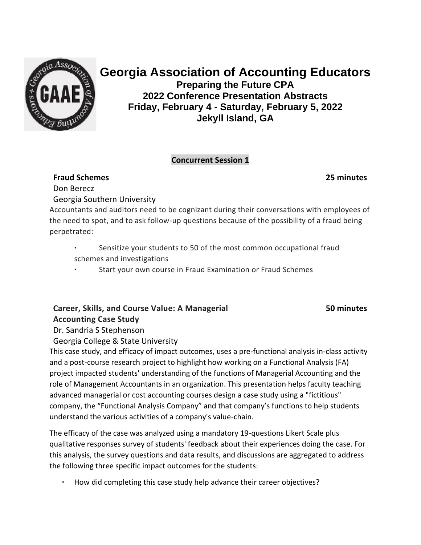

# **Georgia Association of Accounting Educators**

**Preparing the Future CPA 2022 Conference Presentation Abstracts Friday, February 4 - Saturday, February 5, 2022 Jekyll Island, GA**

#### **Concurrent Session 1**

## **Fraud Schemes**

**25 minutes**

Don Berecz

Georgia Southern University

Accountants and auditors need to be cognizant during their conversations with employees of the need to spot, and to ask follow-up questions because of the possibility of a fraud being perpetrated:

- Sensitize your students to 50 of the most common occupational fraud schemes and investigations
- Start your own course in Fraud Examination or Fraud Schemes

# **Career, Skills, and Course Value: A Managerial Accounting Case Study**

**50 minutes**

Dr. Sandria S Stephenson

Georgia College & State University

This case study, and efficacy of impact outcomes, uses a pre-functional analysis in-class activity and a post-course research project to highlight how working on a Functional Analysis (FA) project impacted students' understanding of the functions of Managerial Accounting and the role of Management Accountants in an organization. This presentation helps faculty teaching advanced managerial or cost accounting courses design a case study using a "fictitious" company, the "Functional Analysis Company" and that company's functions to help students understand the various activities of a company's value-chain.

The efficacy of the case was analyzed using a mandatory 19-questions Likert Scale plus qualitative responses survey of students' feedback about their experiences doing the case. For this analysis, the survey questions and data results, and discussions are aggregated to address the following three specific impact outcomes for the students:

• How did completing this case study help advance their career objectives?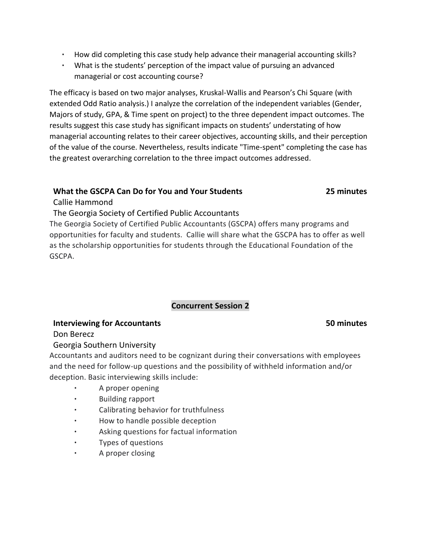- How did completing this case study help advance their managerial accounting skills?
- What is the students' perception of the impact value of pursuing an advanced managerial or cost accounting course?

The efficacy is based on two major analyses, Kruskal-Wallis and Pearson's Chi Square (with extended Odd Ratio analysis.) I analyze the correlation of the independent variables (Gender, Majors of study, GPA, & Time spent on project) to the three dependent impact outcomes. The results suggest this case study has significant impacts on students' understating of how managerial accounting relates to their career objectives, accounting skills, and their perception of the value of the course. Nevertheless, results indicate "Time-spent" completing the case has the greatest overarching correlation to the three impact outcomes addressed.

## **What the GSCPA Can Do for You and Your Students**

**25 minutes**

Callie Hammond

## The Georgia Society of Certified Public Accountants

The Georgia Society of Certified Public Accountants (GSCPA) offers many programs and opportunities for faculty and students. Callie will share what the GSCPA has to offer as well as the scholarship opportunities for students through the Educational Foundation of the GSCPA.

## **Concurrent Session 2**

## **Interviewing for Accountants**

## **50 minutes**

Don Berecz

## Georgia Southern University

Accountants and auditors need to be cognizant during their conversations with employees and the need for follow-up questions and the possibility of withheld information and/or deception. Basic interviewing skills include:

- A proper opening
- Building rapport
- Calibrating behavior for truthfulness
- How to handle possible deception
- Asking questions for factual information
- Types of questions
- A proper closing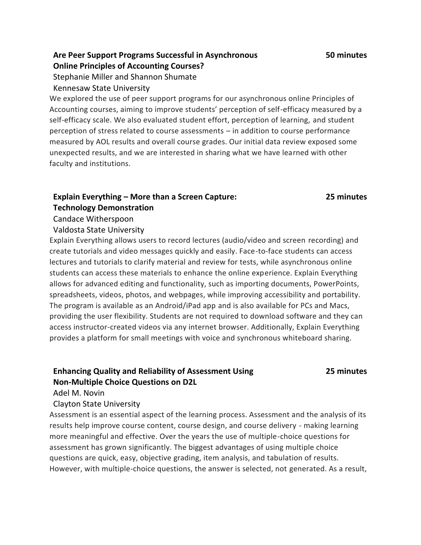## **Are Peer Support Programs Successful in Asynchronous Online Principles of Accounting Courses?**

Stephanie Miller and Shannon Shumate

Kennesaw State University

We explored the use of peer support programs for our asynchronous online Principles of Accounting courses, aiming to improve students' perception of self-efficacy measured by a self-efficacy scale. We also evaluated student effort, perception of learning, and student perception of stress related to course assessments – in addition to course performance measured by AOL results and overall course grades. Our initial data review exposed some unexpected results, and we are interested in sharing what we have learned with other faculty and institutions.

## **Explain Everything – More than a Screen Capture: Technology Demonstration**

#### **25 minutes**

Candace Witherspoon

#### Valdosta State University

Explain Everything allows users to record lectures (audio/video and screen recording) and create tutorials and video messages quickly and easily. Face-to-face students can access lectures and tutorials to clarify material and review for tests, while asynchronous online students can access these materials to enhance the online experience. Explain Everything allows for advanced editing and functionality, such as importing documents, PowerPoints, spreadsheets, videos, photos, and webpages, while improving accessibility and portability. The program is available as an Android/iPad app and is also available for PCs and Macs, providing the user flexibility. Students are not required to download software and they can access instructor-created videos via any internet browser. Additionally, Explain Everything provides a platform for small meetings with voice and synchronous whiteboard sharing.

## **Enhancing Quality and Reliability of Assessment Using Non-Multiple Choice Questions on D2L**

#### **25 minutes**

Adel M. Novin

#### Clayton State University

Assessment is an essential aspect of the learning process. Assessment and the analysis of its results help improve course content, course design, and course delivery - making learning more meaningful and effective. Over the years the use of multiple-choice questions for assessment has grown significantly. The biggest advantages of using multiple choice questions are quick, easy, objective grading, item analysis, and tabulation of results. However, with multiple-choice questions, the answer is selected, not generated. As a result,

#### **50 minutes**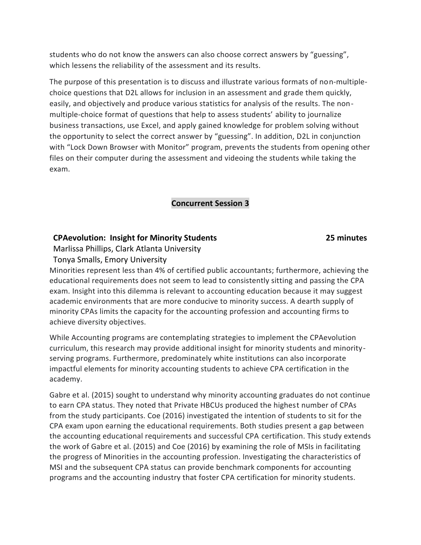students who do not know the answers can also choose correct answers by "guessing", which lessens the reliability of the assessment and its results.

The purpose of this presentation is to discuss and illustrate various formats of non-multiplechoice questions that D2L allows for inclusion in an assessment and grade them quickly, easily, and objectively and produce various statistics for analysis of the results. The nonmultiple-choice format of questions that help to assess students' ability to journalize business transactions, use Excel, and apply gained knowledge for problem solving without the opportunity to select the correct answer by "guessing". In addition, D2L in conjunction with "Lock Down Browser with Monitor" program, prevents the students from opening other files on their computer during the assessment and videoing the students while taking the exam.

#### **Concurrent Session 3**

#### **CPAevolution: Insight for Minority Students**

#### **25 minutes**

Marlissa Phillips, Clark Atlanta University

Tonya Smalls, Emory University

Minorities represent less than 4% of certified public accountants; furthermore, achieving the educational requirements does not seem to lead to consistently sitting and passing the CPA exam. Insight into this dilemma is relevant to accounting education because it may suggest academic environments that are more conducive to minority success. A dearth supply of minority CPAs limits the capacity for the accounting profession and accounting firms to achieve diversity objectives.

While Accounting programs are contemplating strategies to implement the CPAevolution curriculum, this research may provide additional insight for minority students and minorityserving programs. Furthermore, predominately white institutions can also incorporate impactful elements for minority accounting students to achieve CPA certification in the academy.

Gabre et al. (2015) sought to understand why minority accounting graduates do not continue to earn CPA status. They noted that Private HBCUs produced the highest number of CPAs from the study participants. Coe (2016) investigated the intention of students to sit for the CPA exam upon earning the educational requirements. Both studies present a gap between the accounting educational requirements and successful CPA certification. This study extends the work of Gabre et al. (2015) and Coe (2016) by examining the role of MSIs in facilitating the progress of Minorities in the accounting profession. Investigating the characteristics of MSI and the subsequent CPA status can provide benchmark components for accounting programs and the accounting industry that foster CPA certification for minority students.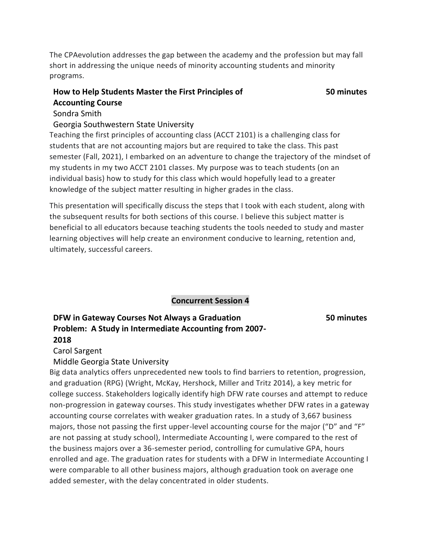The CPAevolution addresses the gap between the academy and the profession but may fall short in addressing the unique needs of minority accounting students and minority programs.

# **How to Help Students Master the First Principles of Accounting Course**

#### **50 minutes**

#### Sondra Smith

#### Georgia Southwestern State University

Teaching the first principles of accounting class (ACCT 2101) is a challenging class for students that are not accounting majors but are required to take the class. This past semester (Fall, 2021), I embarked on an adventure to change the trajectory of the mindset of my students in my two ACCT 2101 classes. My purpose was to teach students (on an individual basis) how to study for this class which would hopefully lead to a greater knowledge of the subject matter resulting in higher grades in the class.

This presentation will specifically discuss the steps that I took with each student, along with the subsequent results for both sections of this course. I believe this subject matter is beneficial to all educators because teaching students the tools needed to study and master learning objectives will help create an environment conducive to learning, retention and, ultimately, successful careers.

**Concurrent Session 4** 

## **DFW in Gateway Courses Not Always a Graduation Problem: A Study in Intermediate Accounting from 2007- 2018**

**50 minutes**

## Carol Sargent

Middle Georgia State University

Big data analytics offers unprecedented new tools to find barriers to retention, progression, and graduation (RPG) (Wright, McKay, Hershock, Miller and Tritz 2014), a key metric for college success. Stakeholders logically identify high DFW rate courses and attempt to reduce non-progression in gateway courses. This study investigates whether DFW rates in a gateway accounting course correlates with weaker graduation rates. In a study of 3,667 business majors, those not passing the first upper-level accounting course for the major ("D" and "F" are not passing at study school), Intermediate Accounting I, were compared to the rest of the business majors over a 36-semester period, controlling for cumulative GPA, hours enrolled and age. The graduation rates for students with a DFW in Intermediate Accounting I were comparable to all other business majors, although graduation took on average one added semester, with the delay concentrated in older students.